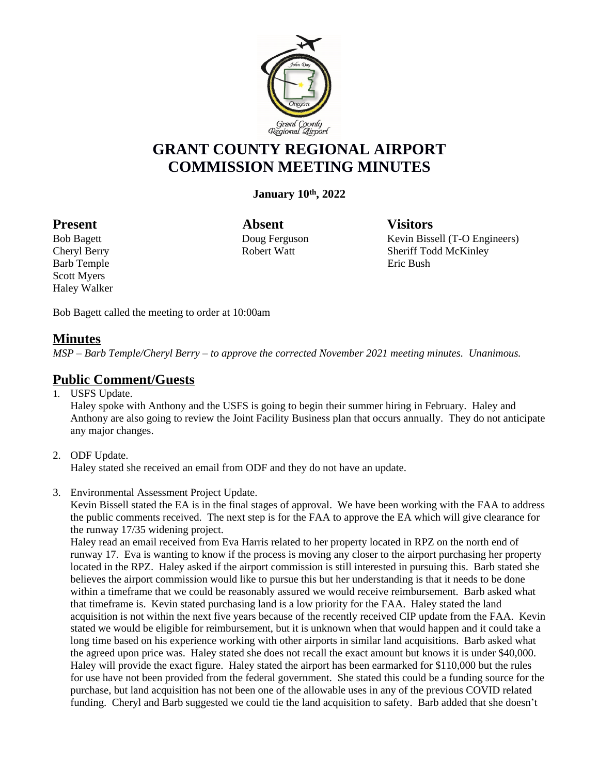

# **GRANT COUNTY REGIONAL AIRPORT COMMISSION MEETING MINUTES**

**January 10th, 2022**

Barb Temple Eric Bush Scott Myers Haley Walker

Present Absent Visitors

Bob Bagett **Doug Ferguson** Kevin Bissell (T-O Engineers) Cheryl Berry Robert Watt Sheriff Todd McKinley

Bob Bagett called the meeting to order at 10:00am

#### **Minutes**

*MSP – Barb Temple/Cheryl Berry – to approve the corrected November 2021 meeting minutes. Unanimous.*

# **Public Comment/Guests**

1. USFS Update.

Haley spoke with Anthony and the USFS is going to begin their summer hiring in February. Haley and Anthony are also going to review the Joint Facility Business plan that occurs annually. They do not anticipate any major changes.

#### 2. ODF Update.

Haley stated she received an email from ODF and they do not have an update.

3. Environmental Assessment Project Update.

Kevin Bissell stated the EA is in the final stages of approval. We have been working with the FAA to address the public comments received. The next step is for the FAA to approve the EA which will give clearance for the runway 17/35 widening project.

Haley read an email received from Eva Harris related to her property located in RPZ on the north end of runway 17. Eva is wanting to know if the process is moving any closer to the airport purchasing her property located in the RPZ. Haley asked if the airport commission is still interested in pursuing this. Barb stated she believes the airport commission would like to pursue this but her understanding is that it needs to be done within a timeframe that we could be reasonably assured we would receive reimbursement. Barb asked what that timeframe is. Kevin stated purchasing land is a low priority for the FAA. Haley stated the land acquisition is not within the next five years because of the recently received CIP update from the FAA. Kevin stated we would be eligible for reimbursement, but it is unknown when that would happen and it could take a long time based on his experience working with other airports in similar land acquisitions. Barb asked what the agreed upon price was. Haley stated she does not recall the exact amount but knows it is under \$40,000. Haley will provide the exact figure. Haley stated the airport has been earmarked for \$110,000 but the rules for use have not been provided from the federal government. She stated this could be a funding source for the purchase, but land acquisition has not been one of the allowable uses in any of the previous COVID related funding. Cheryl and Barb suggested we could tie the land acquisition to safety. Barb added that she doesn't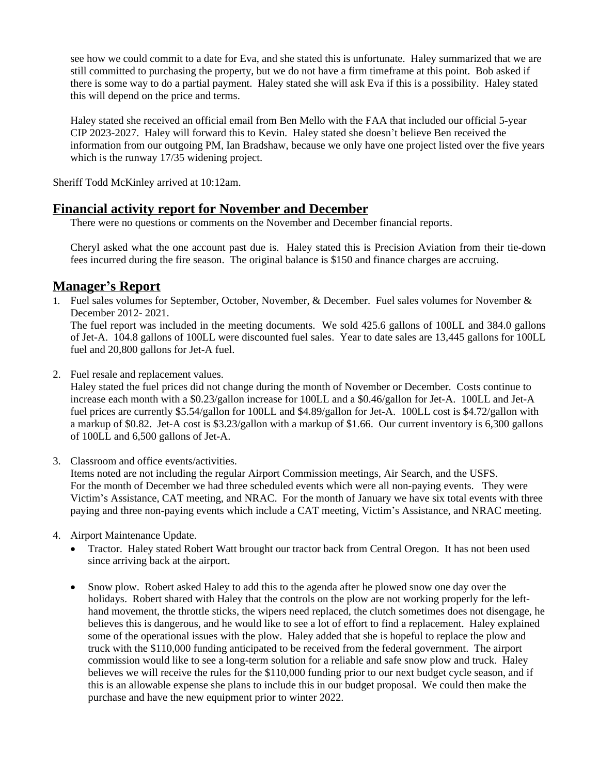see how we could commit to a date for Eva, and she stated this is unfortunate. Haley summarized that we are still committed to purchasing the property, but we do not have a firm timeframe at this point. Bob asked if there is some way to do a partial payment. Haley stated she will ask Eva if this is a possibility. Haley stated this will depend on the price and terms.

Haley stated she received an official email from Ben Mello with the FAA that included our official 5-year CIP 2023-2027. Haley will forward this to Kevin. Haley stated she doesn't believe Ben received the information from our outgoing PM, Ian Bradshaw, because we only have one project listed over the five years which is the runway 17/35 widening project.

Sheriff Todd McKinley arrived at 10:12am.

### **Financial activity report for November and December**

There were no questions or comments on the November and December financial reports.

Cheryl asked what the one account past due is. Haley stated this is Precision Aviation from their tie-down fees incurred during the fire season. The original balance is \$150 and finance charges are accruing.

# **Manager's Report**

1. Fuel sales volumes for September, October, November, & December. Fuel sales volumes for November & December 2012- 2021.

The fuel report was included in the meeting documents. We sold 425.6 gallons of 100LL and 384.0 gallons of Jet-A. 104.8 gallons of 100LL were discounted fuel sales. Year to date sales are 13,445 gallons for 100LL fuel and 20,800 gallons for Jet-A fuel.

2. Fuel resale and replacement values.

Haley stated the fuel prices did not change during the month of November or December. Costs continue to increase each month with a \$0.23/gallon increase for 100LL and a \$0.46/gallon for Jet-A. 100LL and Jet-A fuel prices are currently \$5.54/gallon for 100LL and \$4.89/gallon for Jet-A. 100LL cost is \$4.72/gallon with a markup of \$0.82. Jet-A cost is \$3.23/gallon with a markup of \$1.66. Our current inventory is 6,300 gallons of 100LL and 6,500 gallons of Jet-A.

3. Classroom and office events/activities.

Items noted are not including the regular Airport Commission meetings, Air Search, and the USFS. For the month of December we had three scheduled events which were all non-paying events. They were Victim's Assistance, CAT meeting, and NRAC. For the month of January we have six total events with three paying and three non-paying events which include a CAT meeting, Victim's Assistance, and NRAC meeting.

- 4. Airport Maintenance Update.
	- Tractor. Haley stated Robert Watt brought our tractor back from Central Oregon. It has not been used since arriving back at the airport.
	- Snow plow. Robert asked Haley to add this to the agenda after he plowed snow one day over the holidays. Robert shared with Haley that the controls on the plow are not working properly for the lefthand movement, the throttle sticks, the wipers need replaced, the clutch sometimes does not disengage, he believes this is dangerous, and he would like to see a lot of effort to find a replacement. Haley explained some of the operational issues with the plow. Haley added that she is hopeful to replace the plow and truck with the \$110,000 funding anticipated to be received from the federal government. The airport commission would like to see a long-term solution for a reliable and safe snow plow and truck. Haley believes we will receive the rules for the \$110,000 funding prior to our next budget cycle season, and if this is an allowable expense she plans to include this in our budget proposal. We could then make the purchase and have the new equipment prior to winter 2022.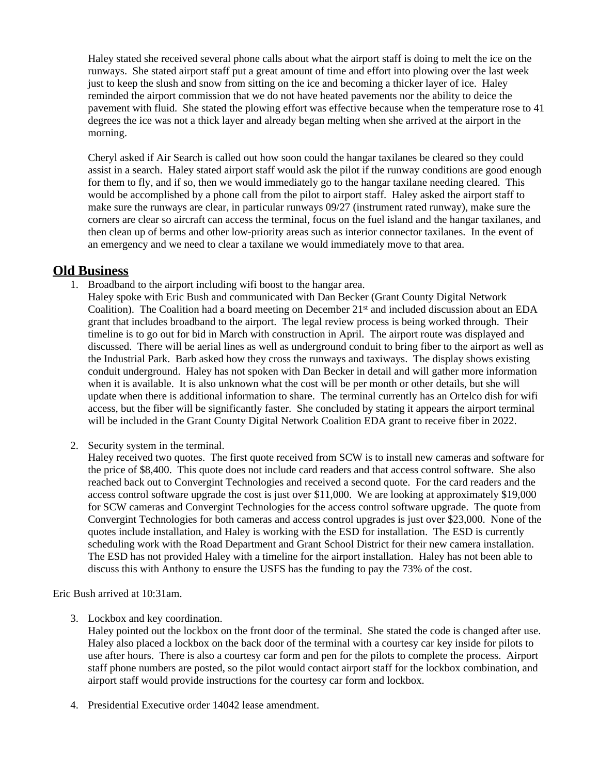Haley stated she received several phone calls about what the airport staff is doing to melt the ice on the runways. She stated airport staff put a great amount of time and effort into plowing over the last week just to keep the slush and snow from sitting on the ice and becoming a thicker layer of ice. Haley reminded the airport commission that we do not have heated pavements nor the ability to deice the pavement with fluid. She stated the plowing effort was effective because when the temperature rose to 41 degrees the ice was not a thick layer and already began melting when she arrived at the airport in the morning.

Cheryl asked if Air Search is called out how soon could the hangar taxilanes be cleared so they could assist in a search. Haley stated airport staff would ask the pilot if the runway conditions are good enough for them to fly, and if so, then we would immediately go to the hangar taxilane needing cleared. This would be accomplished by a phone call from the pilot to airport staff. Haley asked the airport staff to make sure the runways are clear, in particular runways 09/27 (instrument rated runway), make sure the corners are clear so aircraft can access the terminal, focus on the fuel island and the hangar taxilanes, and then clean up of berms and other low-priority areas such as interior connector taxilanes. In the event of an emergency and we need to clear a taxilane we would immediately move to that area.

# **Old Business**

- 1. Broadband to the airport including wifi boost to the hangar area.
	- Haley spoke with Eric Bush and communicated with Dan Becker (Grant County Digital Network Coalition). The Coalition had a board meeting on December  $21<sup>st</sup>$  and included discussion about an EDA grant that includes broadband to the airport. The legal review process is being worked through. Their timeline is to go out for bid in March with construction in April. The airport route was displayed and discussed. There will be aerial lines as well as underground conduit to bring fiber to the airport as well as the Industrial Park. Barb asked how they cross the runways and taxiways. The display shows existing conduit underground. Haley has not spoken with Dan Becker in detail and will gather more information when it is available. It is also unknown what the cost will be per month or other details, but she will update when there is additional information to share. The terminal currently has an Ortelco dish for wifi access, but the fiber will be significantly faster. She concluded by stating it appears the airport terminal will be included in the Grant County Digital Network Coalition EDA grant to receive fiber in 2022.
- 2. Security system in the terminal.

Haley received two quotes. The first quote received from SCW is to install new cameras and software for the price of \$8,400. This quote does not include card readers and that access control software. She also reached back out to Convergint Technologies and received a second quote. For the card readers and the access control software upgrade the cost is just over \$11,000. We are looking at approximately \$19,000 for SCW cameras and Convergint Technologies for the access control software upgrade. The quote from Convergint Technologies for both cameras and access control upgrades is just over \$23,000. None of the quotes include installation, and Haley is working with the ESD for installation. The ESD is currently scheduling work with the Road Department and Grant School District for their new camera installation. The ESD has not provided Haley with a timeline for the airport installation. Haley has not been able to discuss this with Anthony to ensure the USFS has the funding to pay the 73% of the cost.

Eric Bush arrived at 10:31am.

- 3. Lockbox and key coordination.
	- Haley pointed out the lockbox on the front door of the terminal. She stated the code is changed after use. Haley also placed a lockbox on the back door of the terminal with a courtesy car key inside for pilots to use after hours. There is also a courtesy car form and pen for the pilots to complete the process. Airport staff phone numbers are posted, so the pilot would contact airport staff for the lockbox combination, and airport staff would provide instructions for the courtesy car form and lockbox.
- 4. Presidential Executive order 14042 lease amendment.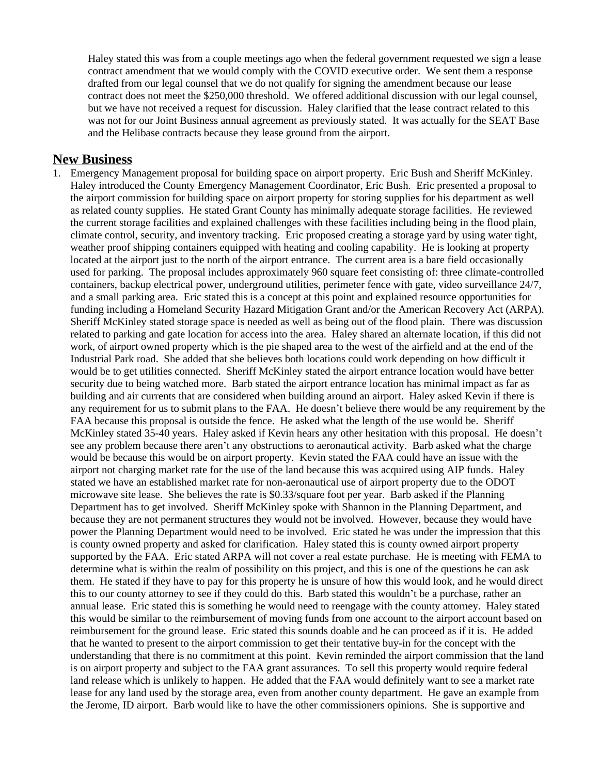Haley stated this was from a couple meetings ago when the federal government requested we sign a lease contract amendment that we would comply with the COVID executive order. We sent them a response drafted from our legal counsel that we do not qualify for signing the amendment because our lease contract does not meet the \$250,000 threshold. We offered additional discussion with our legal counsel, but we have not received a request for discussion. Haley clarified that the lease contract related to this was not for our Joint Business annual agreement as previously stated. It was actually for the SEAT Base and the Helibase contracts because they lease ground from the airport.

#### **New Business**

1. Emergency Management proposal for building space on airport property. Eric Bush and Sheriff McKinley. Haley introduced the County Emergency Management Coordinator, Eric Bush. Eric presented a proposal to the airport commission for building space on airport property for storing supplies for his department as well as related county supplies. He stated Grant County has minimally adequate storage facilities. He reviewed the current storage facilities and explained challenges with these facilities including being in the flood plain, climate control, security, and inventory tracking. Eric proposed creating a storage yard by using water tight, weather proof shipping containers equipped with heating and cooling capability. He is looking at property located at the airport just to the north of the airport entrance. The current area is a bare field occasionally used for parking. The proposal includes approximately 960 square feet consisting of: three climate-controlled containers, backup electrical power, underground utilities, perimeter fence with gate, video surveillance 24/7, and a small parking area. Eric stated this is a concept at this point and explained resource opportunities for funding including a Homeland Security Hazard Mitigation Grant and/or the American Recovery Act (ARPA). Sheriff McKinley stated storage space is needed as well as being out of the flood plain. There was discussion related to parking and gate location for access into the area. Haley shared an alternate location, if this did not work, of airport owned property which is the pie shaped area to the west of the airfield and at the end of the Industrial Park road. She added that she believes both locations could work depending on how difficult it would be to get utilities connected. Sheriff McKinley stated the airport entrance location would have better security due to being watched more. Barb stated the airport entrance location has minimal impact as far as building and air currents that are considered when building around an airport. Haley asked Kevin if there is any requirement for us to submit plans to the FAA. He doesn't believe there would be any requirement by the FAA because this proposal is outside the fence. He asked what the length of the use would be. Sheriff McKinley stated 35-40 years. Haley asked if Kevin hears any other hesitation with this proposal. He doesn't see any problem because there aren't any obstructions to aeronautical activity. Barb asked what the charge would be because this would be on airport property. Kevin stated the FAA could have an issue with the airport not charging market rate for the use of the land because this was acquired using AIP funds. Haley stated we have an established market rate for non-aeronautical use of airport property due to the ODOT microwave site lease. She believes the rate is \$0.33/square foot per year. Barb asked if the Planning Department has to get involved. Sheriff McKinley spoke with Shannon in the Planning Department, and because they are not permanent structures they would not be involved. However, because they would have power the Planning Department would need to be involved. Eric stated he was under the impression that this is county owned property and asked for clarification. Haley stated this is county owned airport property supported by the FAA. Eric stated ARPA will not cover a real estate purchase. He is meeting with FEMA to determine what is within the realm of possibility on this project, and this is one of the questions he can ask them. He stated if they have to pay for this property he is unsure of how this would look, and he would direct this to our county attorney to see if they could do this. Barb stated this wouldn't be a purchase, rather an annual lease. Eric stated this is something he would need to reengage with the county attorney. Haley stated this would be similar to the reimbursement of moving funds from one account to the airport account based on reimbursement for the ground lease. Eric stated this sounds doable and he can proceed as if it is. He added that he wanted to present to the airport commission to get their tentative buy-in for the concept with the understanding that there is no commitment at this point. Kevin reminded the airport commission that the land is on airport property and subject to the FAA grant assurances. To sell this property would require federal land release which is unlikely to happen. He added that the FAA would definitely want to see a market rate lease for any land used by the storage area, even from another county department. He gave an example from the Jerome, ID airport. Barb would like to have the other commissioners opinions. She is supportive and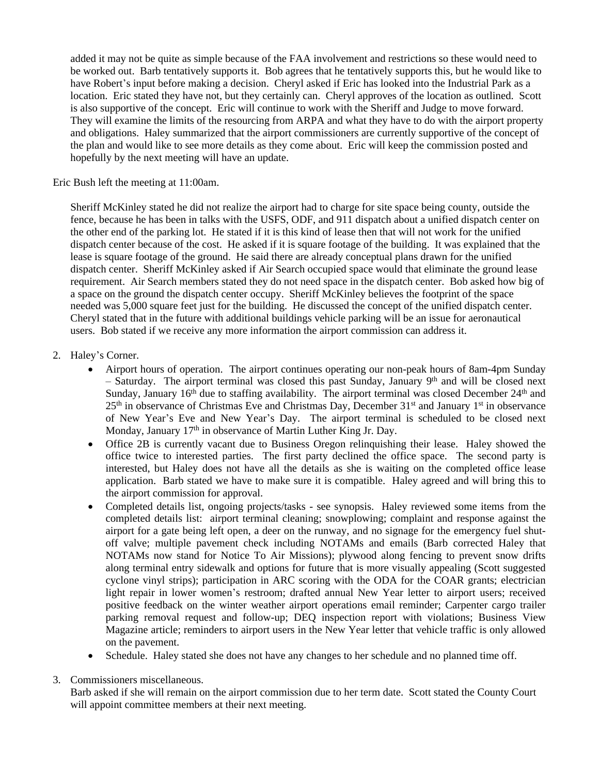added it may not be quite as simple because of the FAA involvement and restrictions so these would need to be worked out. Barb tentatively supports it. Bob agrees that he tentatively supports this, but he would like to have Robert's input before making a decision. Cheryl asked if Eric has looked into the Industrial Park as a location. Eric stated they have not, but they certainly can. Cheryl approves of the location as outlined. Scott is also supportive of the concept. Eric will continue to work with the Sheriff and Judge to move forward. They will examine the limits of the resourcing from ARPA and what they have to do with the airport property and obligations. Haley summarized that the airport commissioners are currently supportive of the concept of the plan and would like to see more details as they come about. Eric will keep the commission posted and hopefully by the next meeting will have an update.

Eric Bush left the meeting at 11:00am.

Sheriff McKinley stated he did not realize the airport had to charge for site space being county, outside the fence, because he has been in talks with the USFS, ODF, and 911 dispatch about a unified dispatch center on the other end of the parking lot. He stated if it is this kind of lease then that will not work for the unified dispatch center because of the cost. He asked if it is square footage of the building. It was explained that the lease is square footage of the ground. He said there are already conceptual plans drawn for the unified dispatch center. Sheriff McKinley asked if Air Search occupied space would that eliminate the ground lease requirement. Air Search members stated they do not need space in the dispatch center. Bob asked how big of a space on the ground the dispatch center occupy. Sheriff McKinley believes the footprint of the space needed was 5,000 square feet just for the building. He discussed the concept of the unified dispatch center. Cheryl stated that in the future with additional buildings vehicle parking will be an issue for aeronautical users. Bob stated if we receive any more information the airport commission can address it.

#### 2. Haley's Corner.

- Airport hours of operation. The airport continues operating our non-peak hours of 8am-4pm Sunday - Saturday. The airport terminal was closed this past Sunday, January 9th and will be closed next Sunday, January 16<sup>th</sup> due to staffing availability. The airport terminal was closed December 24<sup>th</sup> and 25<sup>th</sup> in observance of Christmas Eve and Christmas Day, December 31<sup>st</sup> and January 1<sup>st</sup> in observance of New Year's Eve and New Year's Day. The airport terminal is scheduled to be closed next Monday, January 17<sup>th</sup> in observance of Martin Luther King Jr. Day.
- Office 2B is currently vacant due to Business Oregon relinquishing their lease. Haley showed the office twice to interested parties. The first party declined the office space. The second party is interested, but Haley does not have all the details as she is waiting on the completed office lease application. Barb stated we have to make sure it is compatible. Haley agreed and will bring this to the airport commission for approval.
- Completed details list, ongoing projects/tasks see synopsis. Haley reviewed some items from the completed details list: airport terminal cleaning; snowplowing; complaint and response against the airport for a gate being left open, a deer on the runway, and no signage for the emergency fuel shutoff valve; multiple pavement check including NOTAMs and emails (Barb corrected Haley that NOTAMs now stand for Notice To Air Missions); plywood along fencing to prevent snow drifts along terminal entry sidewalk and options for future that is more visually appealing (Scott suggested cyclone vinyl strips); participation in ARC scoring with the ODA for the COAR grants; electrician light repair in lower women's restroom; drafted annual New Year letter to airport users; received positive feedback on the winter weather airport operations email reminder; Carpenter cargo trailer parking removal request and follow-up; DEQ inspection report with violations; Business View Magazine article; reminders to airport users in the New Year letter that vehicle traffic is only allowed on the pavement.
- Schedule. Haley stated she does not have any changes to her schedule and no planned time off.
- 3. Commissioners miscellaneous.

Barb asked if she will remain on the airport commission due to her term date. Scott stated the County Court will appoint committee members at their next meeting.